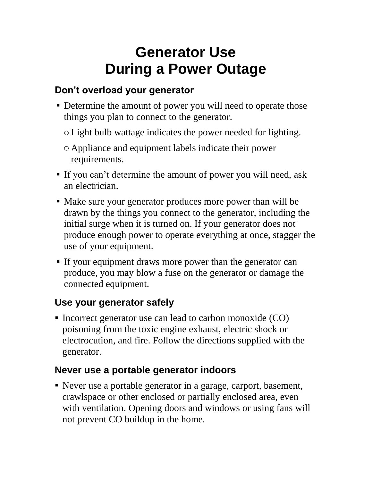# **Generator Use During a Power Outage**

## **Don't overload your generator**

- Determine the amount of power you will need to operate those things you plan to connect to the generator.
	- oLight bulb wattage indicates the power needed for lighting.
	- o Appliance and equipment labels indicate their power requirements.
- If you can't determine the amount of power you will need, ask an electrician.
- Make sure your generator produces more power than will be drawn by the things you connect to the generator, including the initial surge when it is turned on. If your generator does not produce enough power to operate everything at once, stagger the use of your equipment.
- If your equipment draws more power than the generator can produce, you may blow a fuse on the generator or damage the connected equipment.

## **Use your generator safely**

Incorrect generator use can lead to carbon monoxide (CO) poisoning from the toxic engine exhaust, electric shock or electrocution, and fire. Follow the directions supplied with the generator.

#### **Never use a portable generator indoors**

 Never use a portable generator in a garage, carport, basement, crawlspace or other enclosed or partially enclosed area, even with ventilation. Opening doors and windows or using fans will not prevent CO buildup in the home.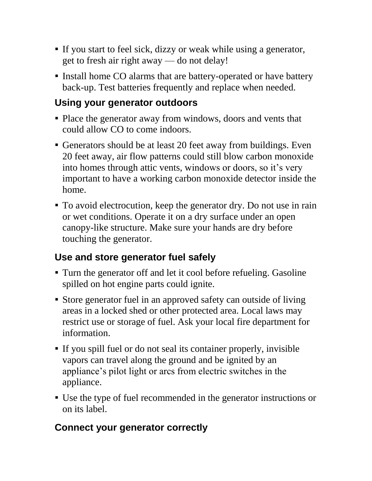- If you start to feel sick, dizzy or weak while using a generator, get to fresh air right away — do not delay!
- Install home CO alarms that are battery-operated or have battery back-up. Test batteries frequently and replace when needed.

#### **Using your generator outdoors**

- Place the generator away from windows, doors and vents that could allow CO to come indoors.
- Generators should be at least 20 feet away from buildings. Even 20 feet away, air flow patterns could still blow carbon monoxide into homes through attic vents, windows or doors, so it's very important to have a working carbon monoxide detector inside the home.
- To avoid electrocution, keep the generator dry. Do not use in rain or wet conditions. Operate it on a dry surface under an open canopy-like structure. Make sure your hands are dry before touching the generator.

## **Use and store generator fuel safely**

- Turn the generator off and let it cool before refueling. Gasoline spilled on hot engine parts could ignite.
- Store generator fuel in an approved safety can outside of living areas in a locked shed or other protected area. Local laws may restrict use or storage of fuel. Ask your local fire department for information.
- If you spill fuel or do not seal its container properly, invisible vapors can travel along the ground and be ignited by an appliance's pilot light or arcs from electric switches in the appliance.
- Use the type of fuel recommended in the generator instructions or on its label.

# **Connect your generator correctly**